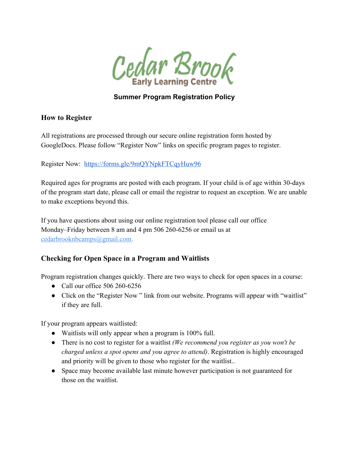

### **Summer Program Registration Policy**

#### **How to Register**

All registrations are processed through our secure online registration form hosted by GoogleDocs. Please follow "Register Now" links on specific program pages to register.

Register Now: <https://forms.gle/9mQYNpkFTCqyHuw96>

Required ages for programs are posted with each program. If your child is of age within 30-days of the program start date, please call or email the registrar to request an exception. We are unable to make exceptions beyond this.

If you have questions about using our online registration tool please call our office Monday–Friday between 8 am and 4 pm 506 260-6256 or email us at [cedarbrooknbcamps@gmail.com.](mailto:cedarbrooknb@gmail.com)

#### **Checking for Open Space in a Program and Waitlists**

Program registration changes quickly. There are two ways to check for open spaces in a course:

- Call our office 506 260-6256
- Click on the "Register Now" link from our website. Programs will appear with "waitlist" if they are full.

If your program appears waitlisted:

- Waitlists will only appear when a program is 100% full.
- There is no cost to register for a waitlist *(We recommend you register as you won't be charged unless a spot opens and you agree to attend)*. Registration is highly encouraged and priority will be given to those who register for the waitlist..
- Space may become available last minute however participation is not guaranteed for those on the waitlist.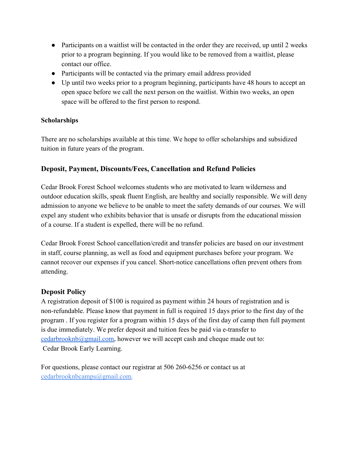- Participants on a waitlist will be contacted in the order they are received, up until 2 weeks prior to a program beginning. If you would like to be removed from a waitlist, please contact our office.
- Participants will be contacted via the primary email address provided
- Up until two weeks prior to a program beginning, participants have 48 hours to accept an open space before we call the next person on the waitlist. Within two weeks, an open space will be offered to the first person to respond.

#### **Scholarships**

There are no scholarships available at this time. We hope to offer scholarships and subsidized tuition in future years of the program.

#### **Deposit, Payment, Discounts/Fees, Cancellation and Refund Policies**

Cedar Brook Forest School welcomes students who are motivated to learn wilderness and outdoor education skills, speak fluent English, are healthy and socially responsible. We will deny admission to anyone we believe to be unable to meet the safety demands of our courses. We will expel any student who exhibits behavior that is unsafe or disrupts from the educational mission of a course. If a student is expelled, there will be no refund.

Cedar Brook Forest School cancellation/credit and transfer policies are based on our investment in staff, course planning, as well as food and equipment purchases before your program. We cannot recover our expenses if you cancel. Short-notice cancellations often prevent others from attending.

#### **Deposit Policy**

A registration deposit of \$100 is required as payment within 24 hours of registration and is non-refundable. Please know that payment in full is required 15 days prior to the first day of the program . If you register for a program within 15 days of the first day of camp then full payment is due immediately. We prefer deposit and tuition fees be paid via e-transfer to [cedarbrooknb@gmail.com](mailto:cedarbrooknb@gmail.com), however we will accept cash and cheque made out to: Cedar Brook Early Learning.

For questions, please contact our registrar at 506 260-6256 or contact us at [cedarbrooknbcamps@gmail.com.](mailto:cedarbrooknb@gmail.com)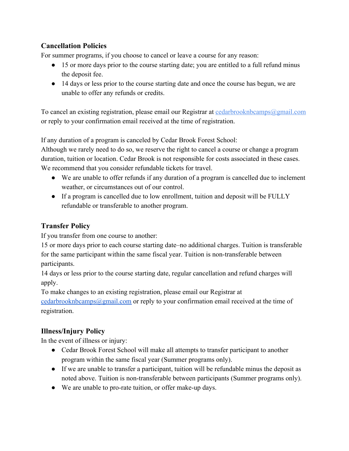### **Cancellation Policies**

For summer programs, if you choose to cancel or leave a course for any reason:

- 15 or more days prior to the course starting date; you are entitled to a full refund minus the deposit fee.
- 14 days or less prior to the course starting date and once the course has begun, we are unable to offer any refunds or credits.

To cancel an existing registration, please email our Registrar at [cedarbrooknbcamps@gmail.com](mailto:cedarbrooknb@gmail.com) or reply to your confirmation email received at the time of registration.

If any duration of a program is canceled by Cedar Brook Forest School:

Although we rarely need to do so, we reserve the right to cancel a course or change a program duration, tuition or location. Cedar Brook is not responsible for costs associated in these cases. We recommend that you consider refundable tickets for travel.

- We are unable to offer refunds if any duration of a program is cancelled due to inclement weather, or circumstances out of our control.
- If a program is cancelled due to low enrollment, tuition and deposit will be FULLY refundable or transferable to another program.

### **Transfer Policy**

If you transfer from one course to another:

15 or more days prior to each course starting date–no additional charges. Tuition is transferable for the same participant within the same fiscal year. Tuition is non-transferable between participants.

14 days or less prior to the course starting date, regular cancellation and refund charges will apply.

To make changes to an existing registration, please email our Registrar at [cedarbrooknbcamps@gmail.com](mailto:cedarbrooknbcamps@gmail.com) or reply to your confirmation email received at the time of registration.

# **Illness/Injury Policy**

In the event of illness or injury:

- Cedar Brook Forest School will make all attempts to transfer participant to another program within the same fiscal year (Summer programs only).
- If we are unable to transfer a participant, tuition will be refundable minus the deposit as noted above. Tuition is non-transferable between participants (Summer programs only).
- We are unable to pro-rate tuition, or offer make-up days.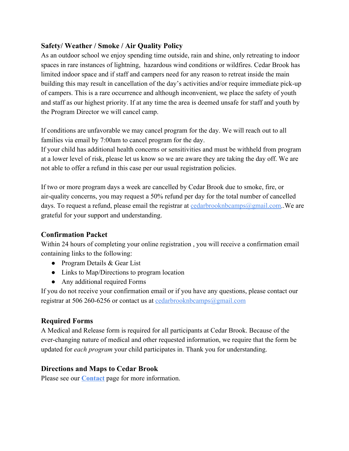### **Safety/ Weather / Smoke / Air Quality Policy**

As an outdoor school we enjoy spending time outside, rain and shine, only retreating to indoor spaces in rare instances of lightning, hazardous wind conditions or wildfires. Cedar Brook has limited indoor space and if staff and campers need for any reason to retreat inside the main building this may result in cancellation of the day's activities and/or require immediate pick-up of campers. This is a rare occurrence and although inconvenient, we place the safety of youth and staff as our highest priority. If at any time the area is deemed unsafe for staff and youth by the Program Director we will cancel camp.

If conditions are unfavorable we may cancel program for the day. We will reach out to all families via email by 7:00am to cancel program for the day.

If your child has additional health concerns or sensitivities and must be withheld from program at a lower level of risk, please let us know so we are aware they are taking the day off. We are not able to offer a refund in this case per our usual registration policies.

If two or more program days a week are cancelled by Cedar Brook due to smoke, fire, or air-quality concerns, you may request a 50% refund per day for the total number of cancelled days. To request a refund, please email the registrar at  $\frac{cedarbrooknbcamps@gmail.com}{eq:cm}$ . We are grateful for your support and understanding.

#### **Confirmation Packet**

Within 24 hours of completing your online registration , you will receive a confirmation email containing links to the following:

- Program Details & Gear List
- Links to Map/Directions to program location
- Any additional required Forms

If you do not receive your confirmation email or if you have any questions, please contact our registrar at 506 260-6256 or contact us at [cedarbrooknbcamps@gmail.com](mailto:cedarbrooknb@gmail.com)

## **Required Forms**

A Medical and Release form is required for all participants at Cedar Brook. Because of the ever-changing nature of medical and other requested information, we require that the form be updated for *each program* your child participates in. Thank you for understanding.

## **Directions and Maps to Cedar Brook**

Please see our **[Contact](https://www.cedarbrookearlylearning.com/contact-2/)** page for more information.